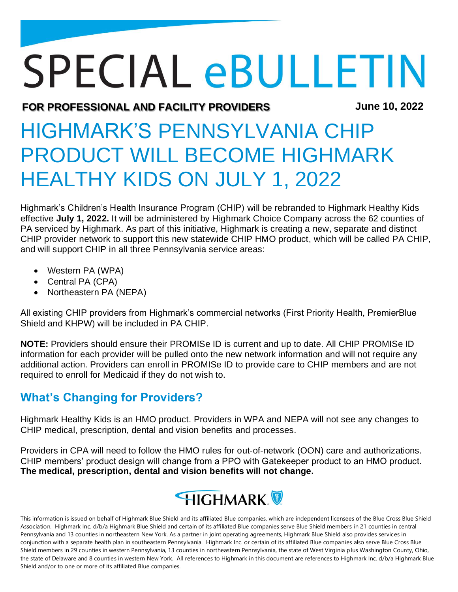# **SPECIAL eBULLETIN**

**FOR PROFESSIONAL AND FACILITY PROVIDERS June 10, 2022**

# HIGHMARK'S PENNSYLVANIA CHIP PRODUCT WILL BECOME HIGHMARK HEALTHY KIDS ON JULY 1, 2022

Highmark's Children's Health Insurance Program (CHIP) will be rebranded to Highmark Healthy Kids effective **July 1, 2022.** It will be administered by Highmark Choice Company across the 62 counties of PA serviced by Highmark. As part of this initiative, Highmark is creating a new, separate and distinct CHIP provider network to support this new statewide CHIP HMO product, which will be called PA CHIP, and will support CHIP in all three Pennsylvania service areas:

- Western PA (WPA)
- Central PA (CPA)
- Northeastern PA (NEPA)

All existing CHIP providers from Highmark's commercial networks (First Priority Health, PremierBlue Shield and KHPW) will be included in PA CHIP.

**NOTE:** Providers should ensure their PROMISe ID is current and up to date. All CHIP PROMISe ID information for each provider will be pulled onto the new network information and will not require any additional action. Providers can enroll in PROMISe ID to provide care to CHIP members and are not required to enroll for Medicaid if they do not wish to.

# **What's Changing for Providers?**

Highmark Healthy Kids is an HMO product. Providers in WPA and NEPA will not see any changes to CHIP medical, prescription, dental and vision benefits and processes.

Providers in CPA will need to follow the HMO rules for out-of-network (OON) care and authorizations. CHIP members' product design will change from a PPO with Gatekeeper product to an HMO product. **The medical, prescription, dental and vision benefits will not change.**



This information is issued on behalf of Highmark Blue Shield and its affiliated Blue companies, which are independent licensees of the Blue Cross Blue Shield Association. Highmark Inc. d/b/a Highmark Blue Shield and certain of its affiliated Blue companies serve Blue Shield members in 21 counties in central Pennsylvania and 13 counties in northeastern New York. As a partner in joint operating agreements, Highmark Blue Shield also provides services in conjunction with a separate health plan in southeastern Pennsylvania. Highmark Inc. or certain of its affiliated Blue companies also serve Blue Cross Blue Shield members in 29 counties in western Pennsylvania, 13 counties in northeastern Pennsylvania, the state of West Virginia plus Washington County, Ohio, the state of Delaware and 8 counties in western New York. All references to Highmark in this document are references to Highmark Inc. d/b/a Highmark Blue Shield and/or to one or more of its affiliated Blue companies.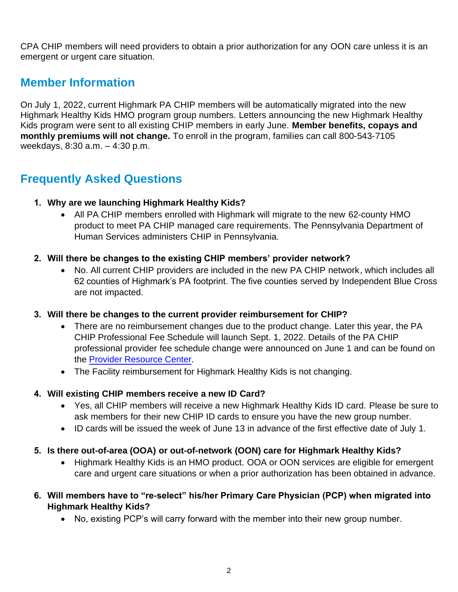CPA CHIP members will need providers to obtain a prior authorization for any OON care unless it is an emergent or urgent care situation.

### **Member Information**

On July 1, 2022, current Highmark PA CHIP members will be automatically migrated into the new Highmark Healthy Kids HMO program group numbers. Letters announcing the new Highmark Healthy Kids program were sent to all existing CHIP members in early June. **Member benefits, copays and monthly premiums will not change.** To enroll in the program, families can call 800-543-7105 weekdays, 8:30 a.m. – 4:30 p.m.

## **Frequently Asked Questions**

#### **1. Why are we launching Highmark Healthy Kids?**

• All PA CHIP members enrolled with Highmark will migrate to the new 62-county HMO product to meet PA CHIP managed care requirements. The Pennsylvania Department of Human Services administers CHIP in Pennsylvania.

#### **2. Will there be changes to the existing CHIP members' provider network?**

• No. All current CHIP providers are included in the new PA CHIP network, which includes all 62 counties of Highmark's PA footprint. The five counties served by Independent Blue Cross are not impacted.

#### **3. Will there be changes to the current provider reimbursement for CHIP?**

- There are no reimbursement changes due to the product change. Later this year, the PA CHIP Professional Fee Schedule will launch Sept. 1, 2022. Details of the PA CHIP professional provider fee schedule change were announced on June 1 and can be found on the [Provider Resource Center.](https://content.highmarkprc.com/Files/Region/hbcbs/NewsletterNotices/SpecialBulletins/sb-bcbs-highmark-chip-fee-schedule-060122.pdf)
- The Facility reimbursement for Highmark Healthy Kids is not changing.

#### **4. Will existing CHIP members receive a new ID Card?**

- Yes, all CHIP members will receive a new Highmark Healthy Kids ID card. Please be sure to ask members for their new CHIP ID cards to ensure you have the new group number.
- ID cards will be issued the week of June 13 in advance of the first effective date of July 1.

#### **5. Is there out-of-area (OOA) or out-of-network (OON) care for Highmark Healthy Kids?**

- Highmark Healthy Kids is an HMO product. OOA or OON services are eligible for emergent care and urgent care situations or when a prior authorization has been obtained in advance.
- **6. Will members have to "re-select" his/her Primary Care Physician (PCP) when migrated into Highmark Healthy Kids?**
	- No, existing PCP's will carry forward with the member into their new group number.